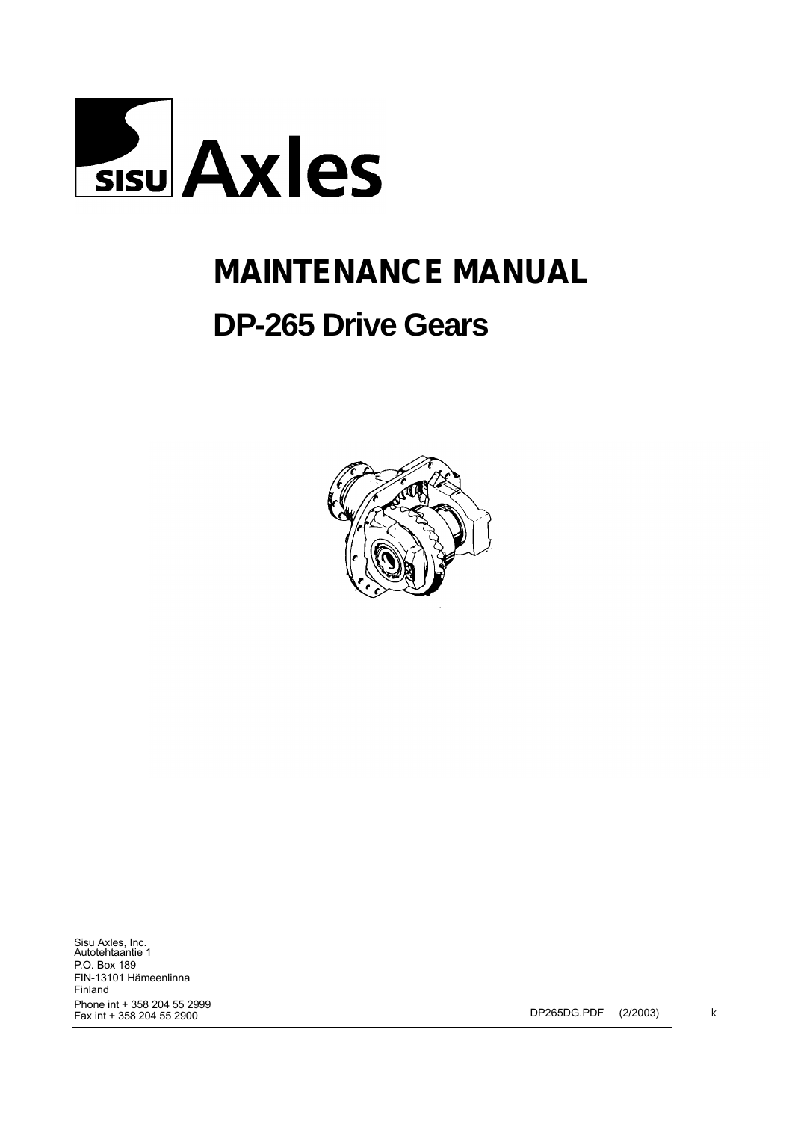

# **MAINTENANCE MANUAL DP-265 Drive Gears**



Sisu Axles, Inc. Autotehtaantie 1 P.O. Box 189 FIN-13101 Hämeenlinna Phone int + 358 204 55 2999 Fax int + 358 204 55 2900 Finland

DP265DG.PDF (2/2003) k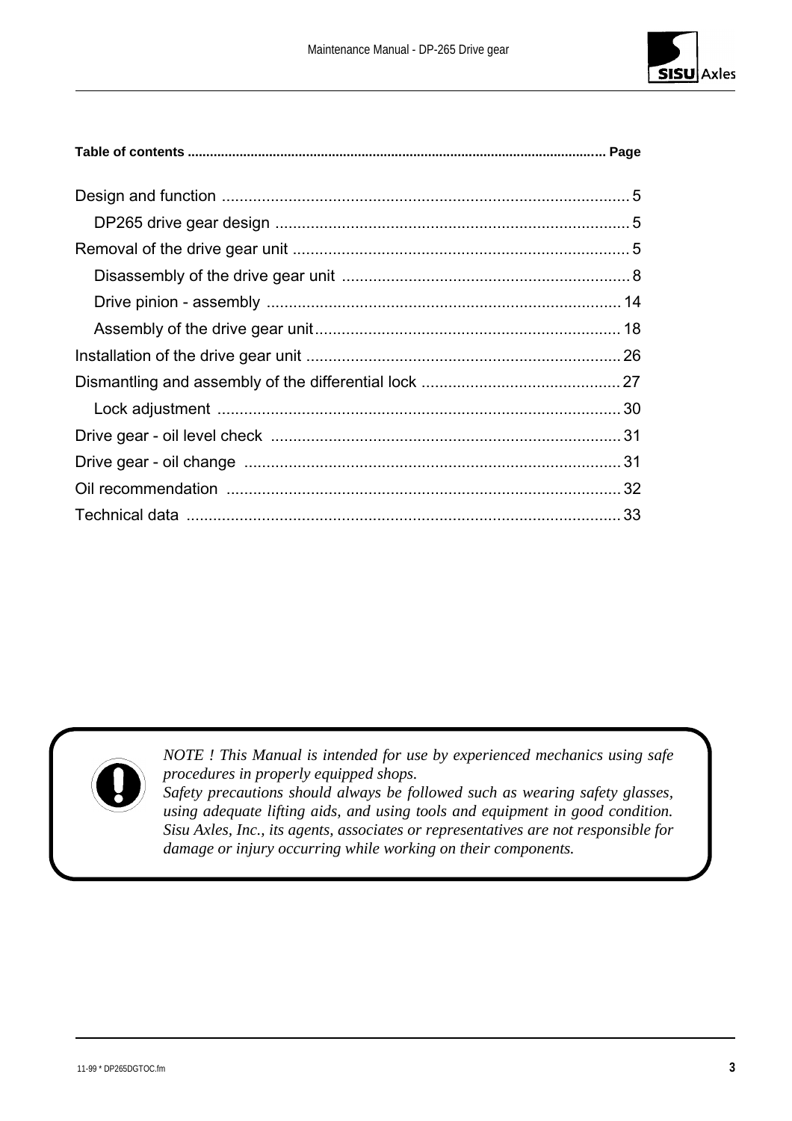



*NOTE ! This Manual is intended for use by experienced mechanics using safe procedures in properly equipped shops.*

*Safety precautions should always be followed such as wearing safety glasses, using adequate lifting aids, and using tools and equipment in good condition. Sisu Axles, Inc., its agents, associates or representatives are not responsible for damage or injury occurring while working on their components.*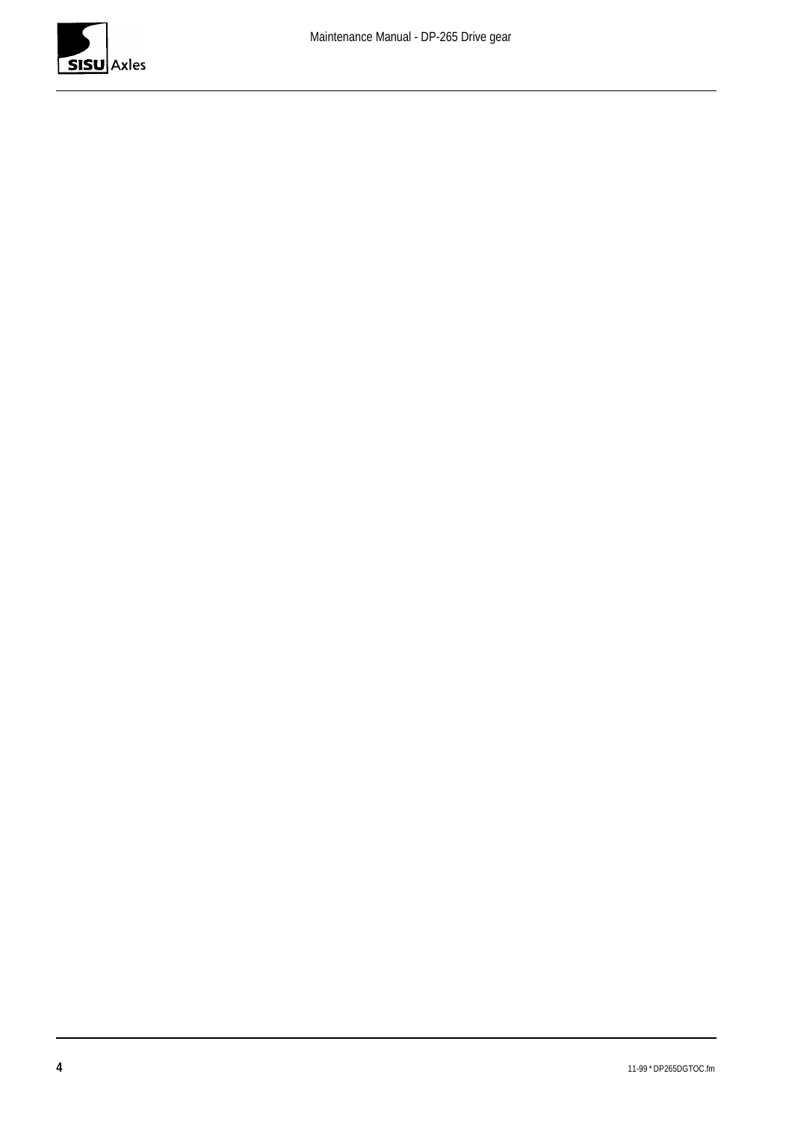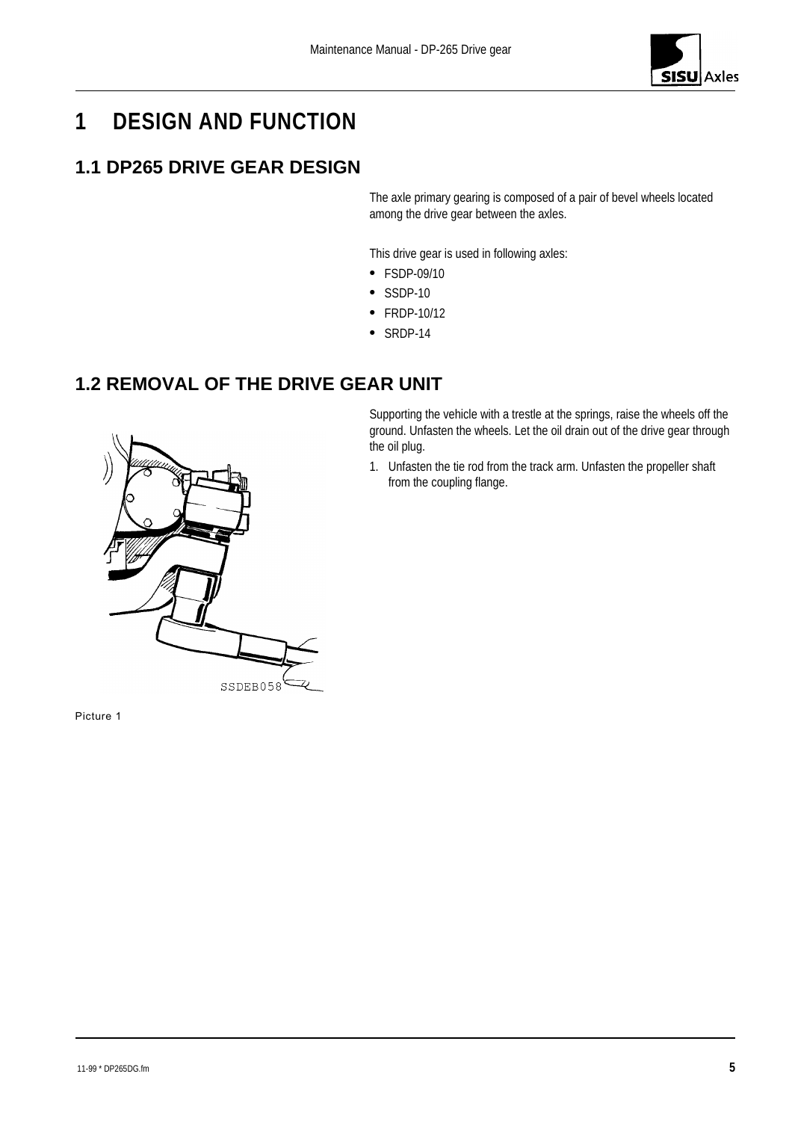

## <span id="page-4-0"></span>**1 DESIGN AND FUNCTION**

#### <span id="page-4-1"></span>**1.1 DP265 DRIVE GEAR DESIGN**

The axle primary gearing is composed of a pair of bevel wheels located among the drive gear between the axles.

This drive gear is used in following axles:

- **•** FSDP-09/10
- **•** SSDP-10
- **•** FRDP-10/12
- **•** SRDP-14

#### <span id="page-4-2"></span>**1.2 REMOVAL OF THE DRIVE GEAR UNIT**



Supporting the vehicle with a trestle at the springs, raise the wheels off the ground. Unfasten the wheels. Let the oil drain out of the drive gear through the oil plug.

1. Unfasten the tie rod from the track arm. Unfasten the propeller shaft from the coupling flange.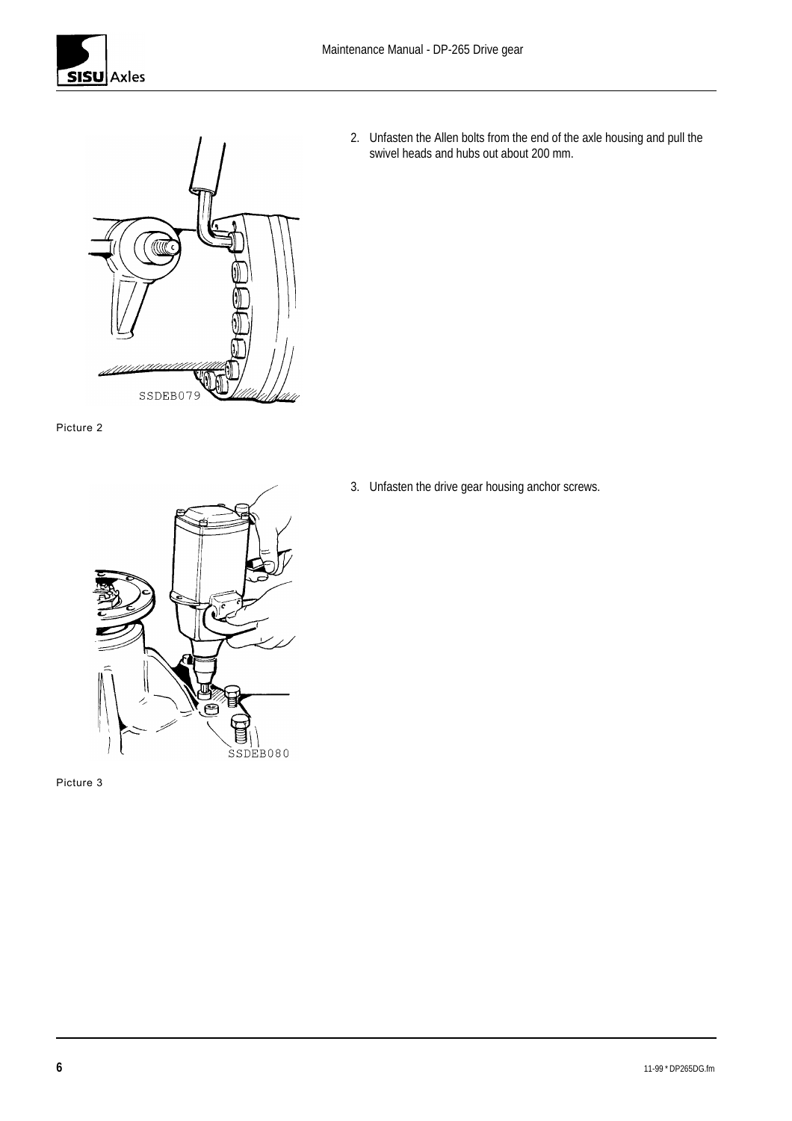









Picture 3

2. Unfasten the Allen bolts from the end of the axle housing and pull the swivel heads and hubs out about 200 mm.

3. Unfasten the drive gear housing anchor screws.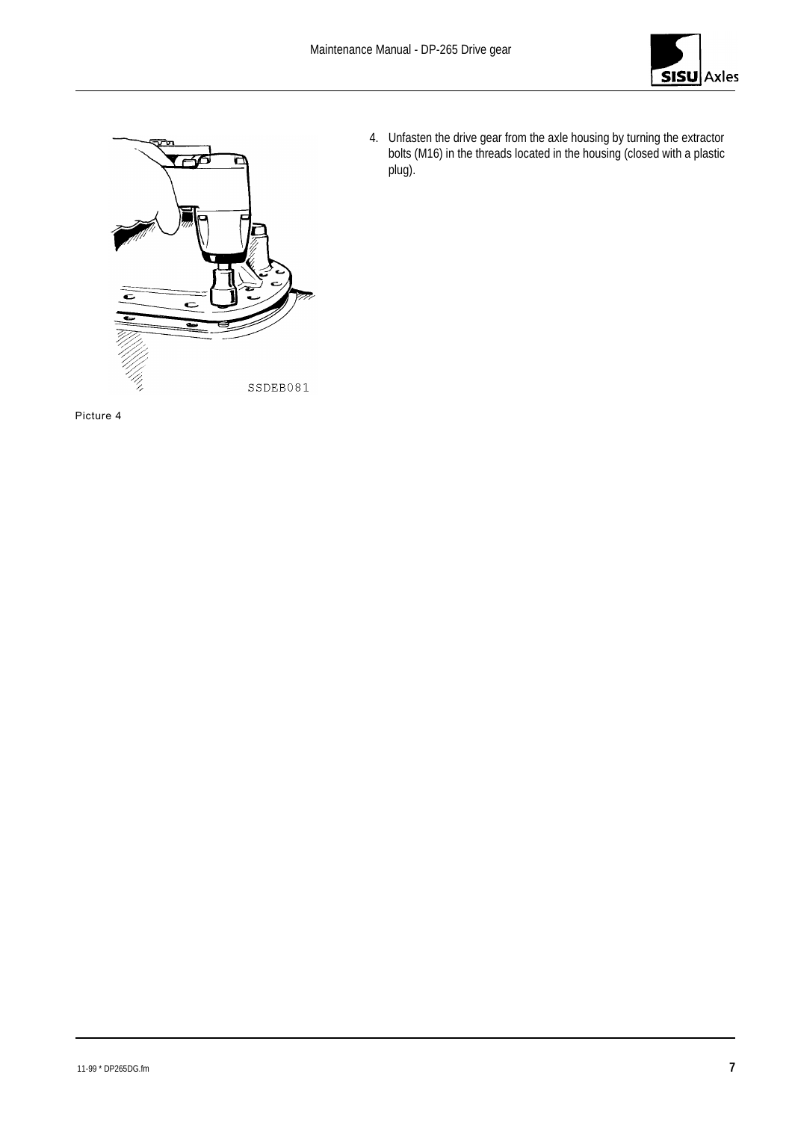



4. Unfasten the drive gear from the axle housing by turning the extractor bolts (M16) in the threads located in the housing (closed with a plastic plug).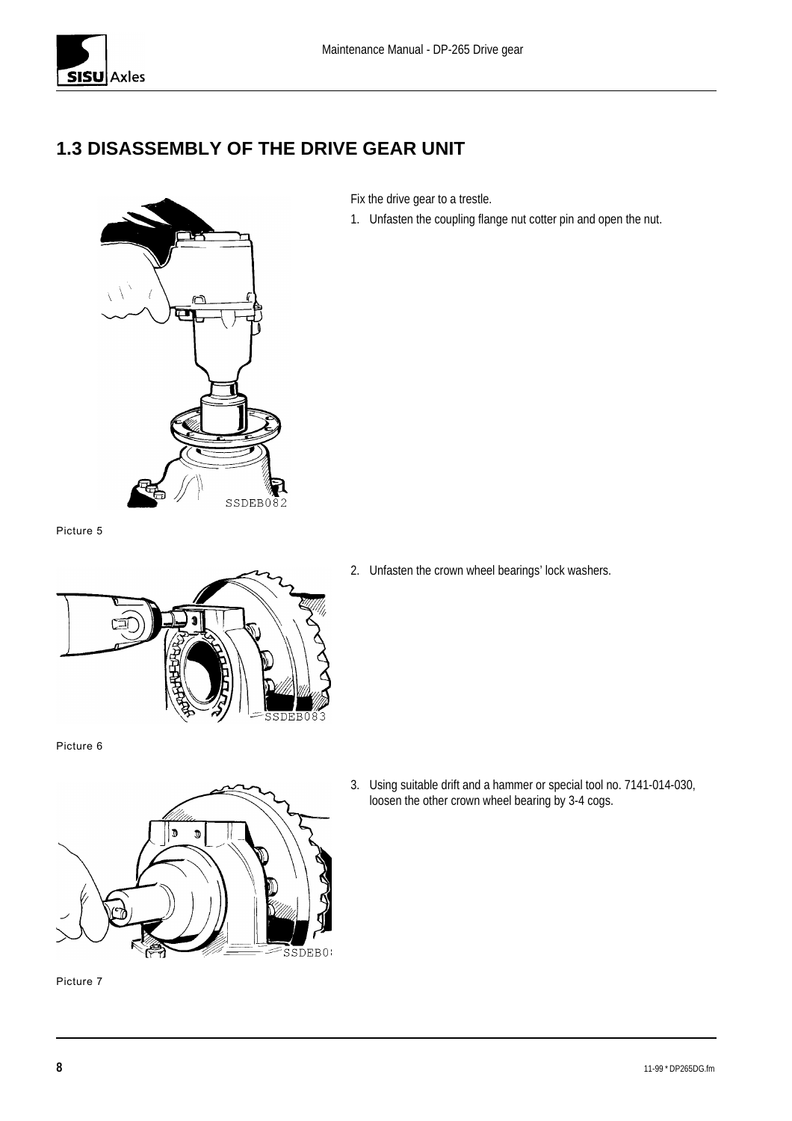

## <span id="page-7-0"></span>**1.3 DISASSEMBLY OF THE DRIVE GEAR UNIT**



Fix the drive gear to a trestle.

1. Unfasten the coupling flange nut cotter pin and open the nut.

Picture 5



2. Unfasten the crown wheel bearings' lock washers.

Picture 6





3. Using suitable drift and a hammer or special tool no. 7141-014-030, loosen the other crown wheel bearing by 3-4 cogs.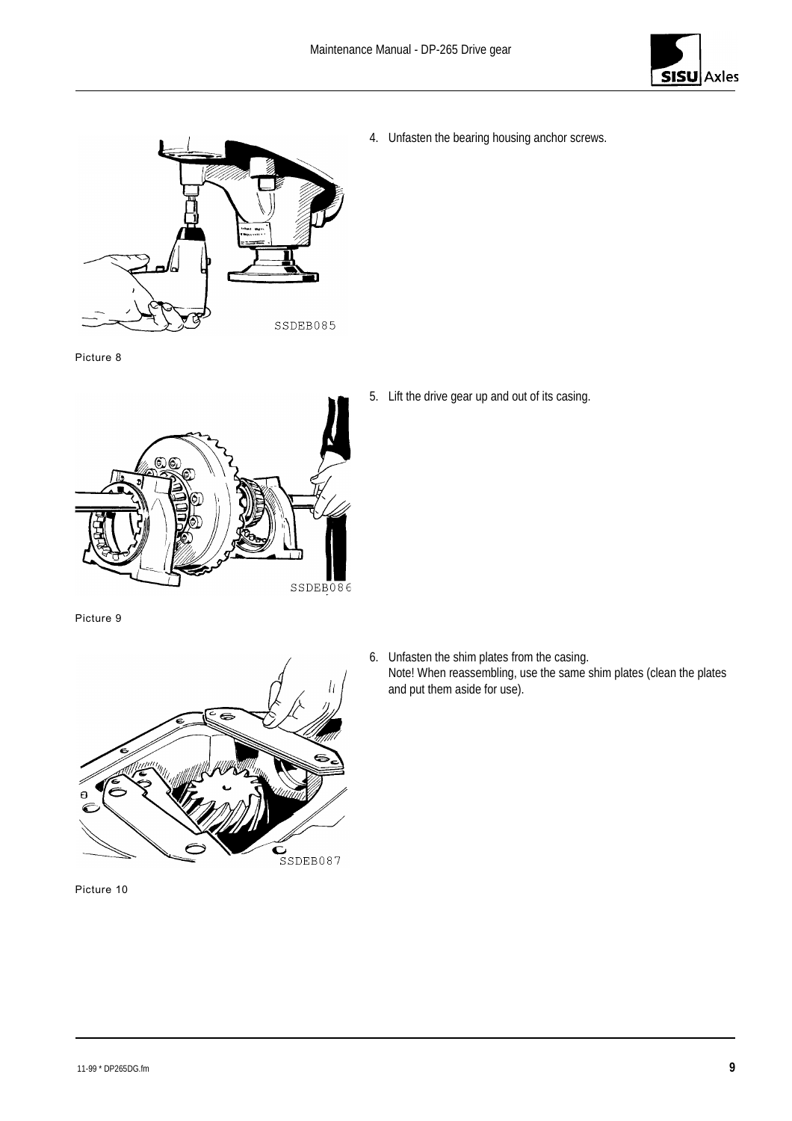



4. Unfasten the bearing housing anchor screws.

Picture 8



5. Lift the drive gear up and out of its casing.

Picture 9



6. Unfasten the shim plates from the casing. Note! When reassembling, use the same shim plates (clean the plates and put them aside for use).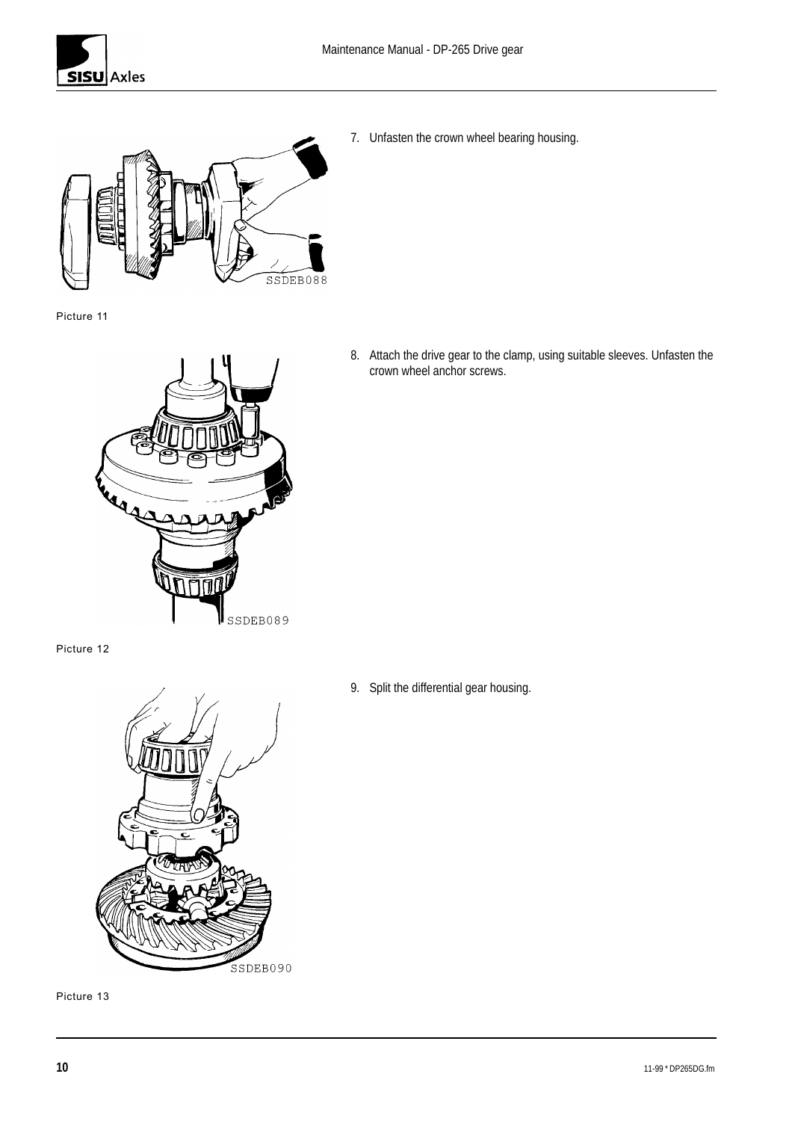



7. Unfasten the crown wheel bearing housing.





8. Attach the drive gear to the clamp, using suitable sleeves. Unfasten the crown wheel anchor screws.

Picture 12



9. Split the differential gear housing.

Picture 13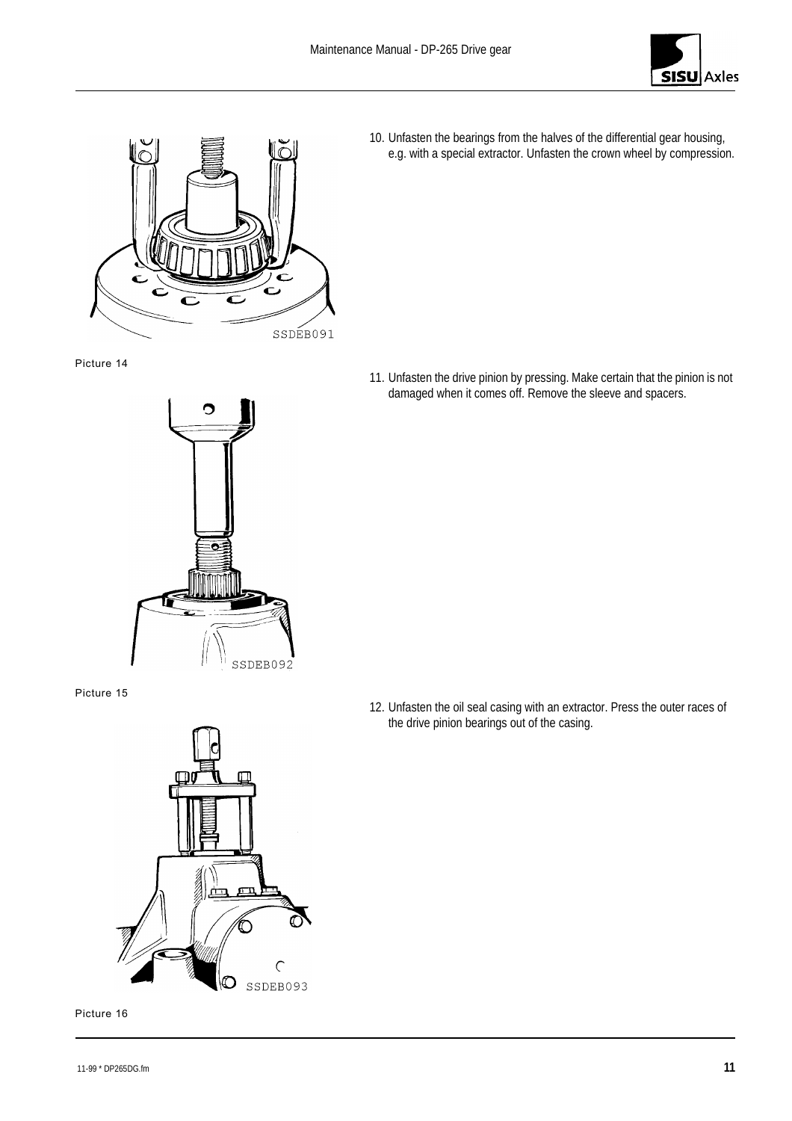



10. Unfasten the bearings from the halves of the differential gear housing, e.g. with a special extractor. Unfasten the crown wheel by compression.

Picture 14



11. Unfasten the drive pinion by pressing. Make certain that the pinion is not damaged when it comes off. Remove the sleeve and spacers.

Picture 15



12. Unfasten the oil seal casing with an extractor. Press the outer races of the drive pinion bearings out of the casing.

Picture 16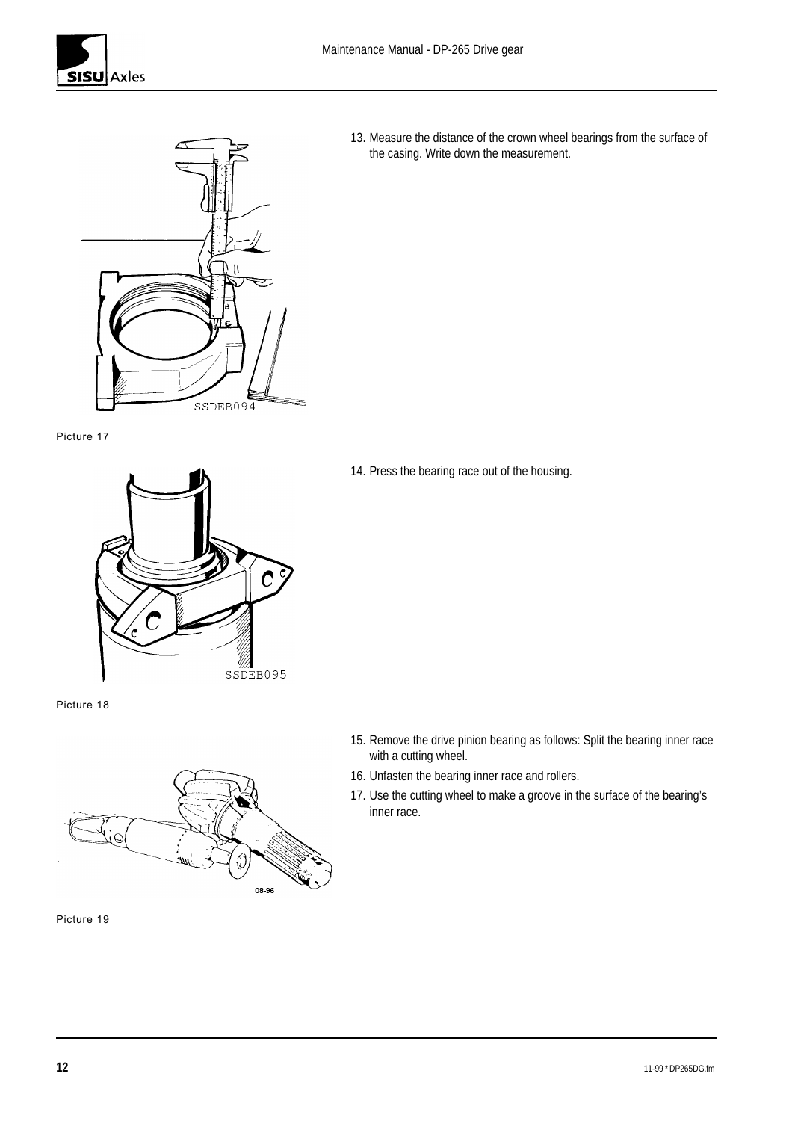

13. Measure the distance of the crown wheel bearings from the surface of

the casing. Write down the measurement.







14. Press the bearing race out of the housing.

Picture 18



15. Remove the drive pinion bearing as follows: Split the bearing inner race with a cutting wheel.

- 16. Unfasten the bearing inner race and rollers.
- 17. Use the cutting wheel to make a groove in the surface of the bearing's inner race.

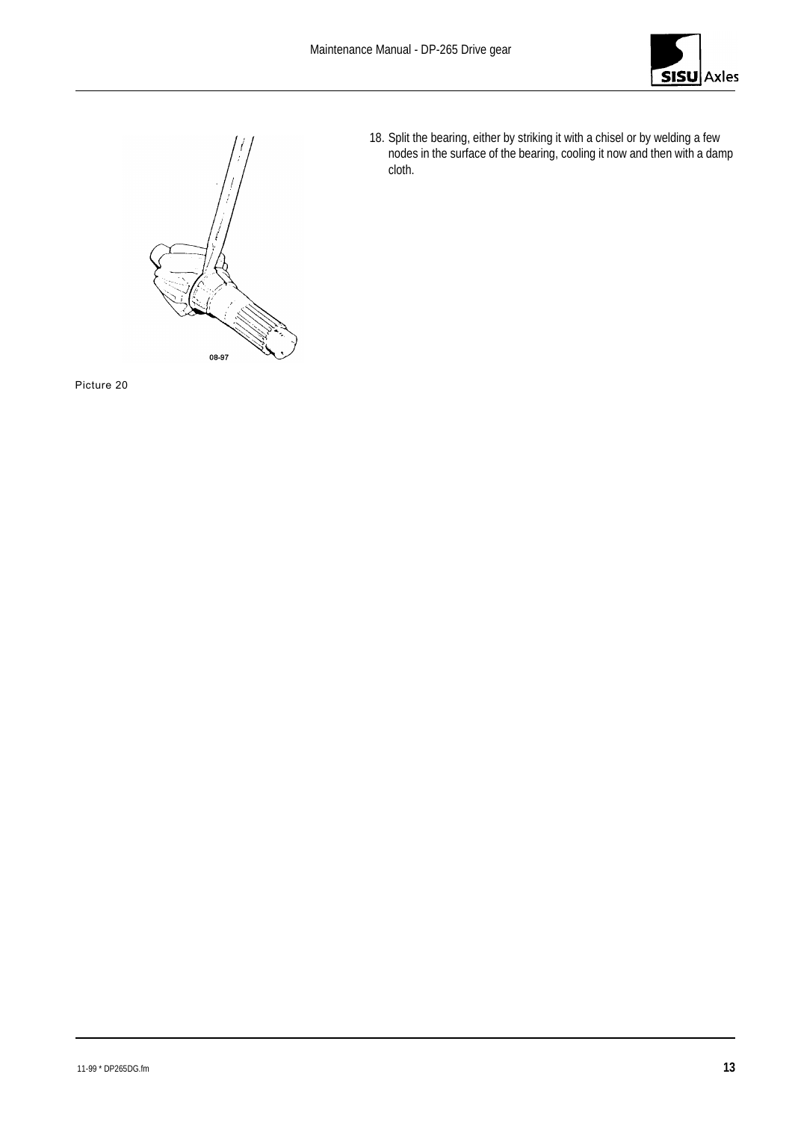

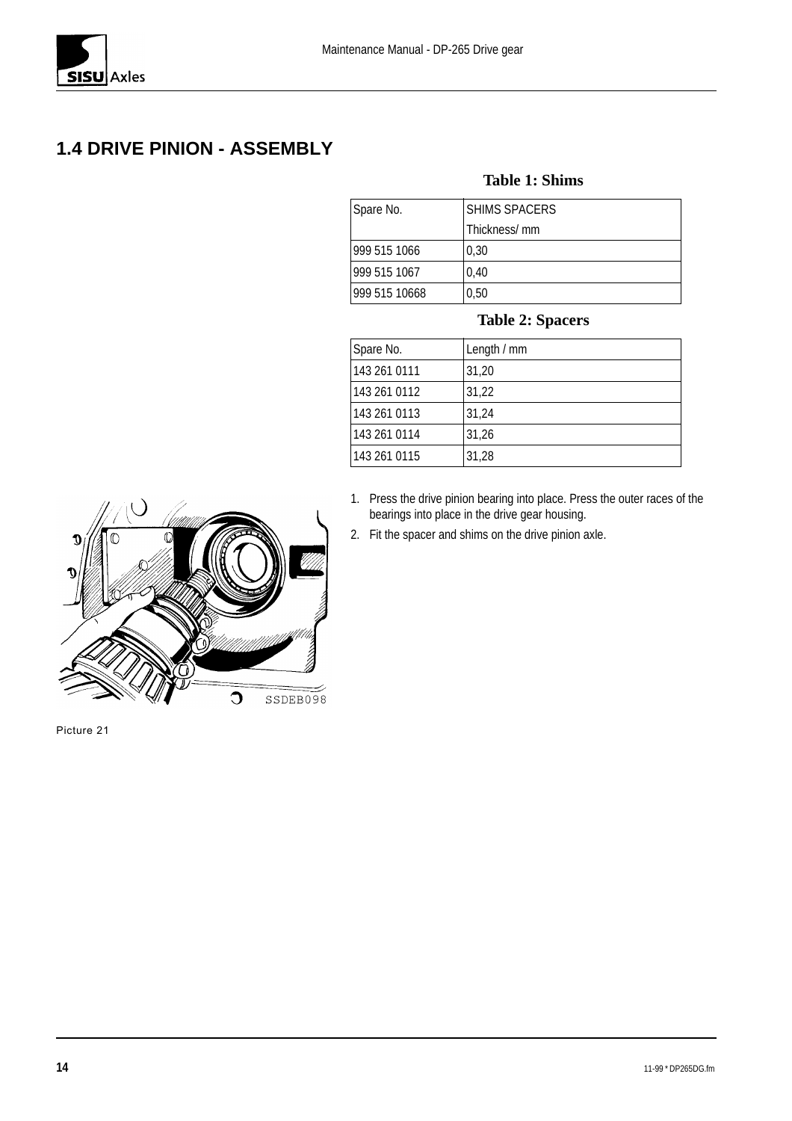

## <span id="page-13-0"></span>**1.4 DRIVE PINION - ASSEMBLY**

#### **Table 1: Shims**

| Spare No.     | <b>SHIMS SPACERS</b> |
|---------------|----------------------|
|               | Thickness/ mm        |
| 999 515 1066  | 0.30                 |
| 1999 515 1067 | 0.40                 |
| 999 515 10668 | 0.50                 |

#### **Table 2: Spacers**

| Spare No.    | Length / mm |
|--------------|-------------|
| 143 261 0111 | 31,20       |
| 143 261 0112 | 31,22       |
| 143 261 0113 | 31.24       |
| 143 261 0114 | 31,26       |
| 143 261 0115 | 31,28       |

- 1. Press the drive pinion bearing into place. Press the outer races of the bearings into place in the drive gear housing.
- 2. Fit the spacer and shims on the drive pinion axle.

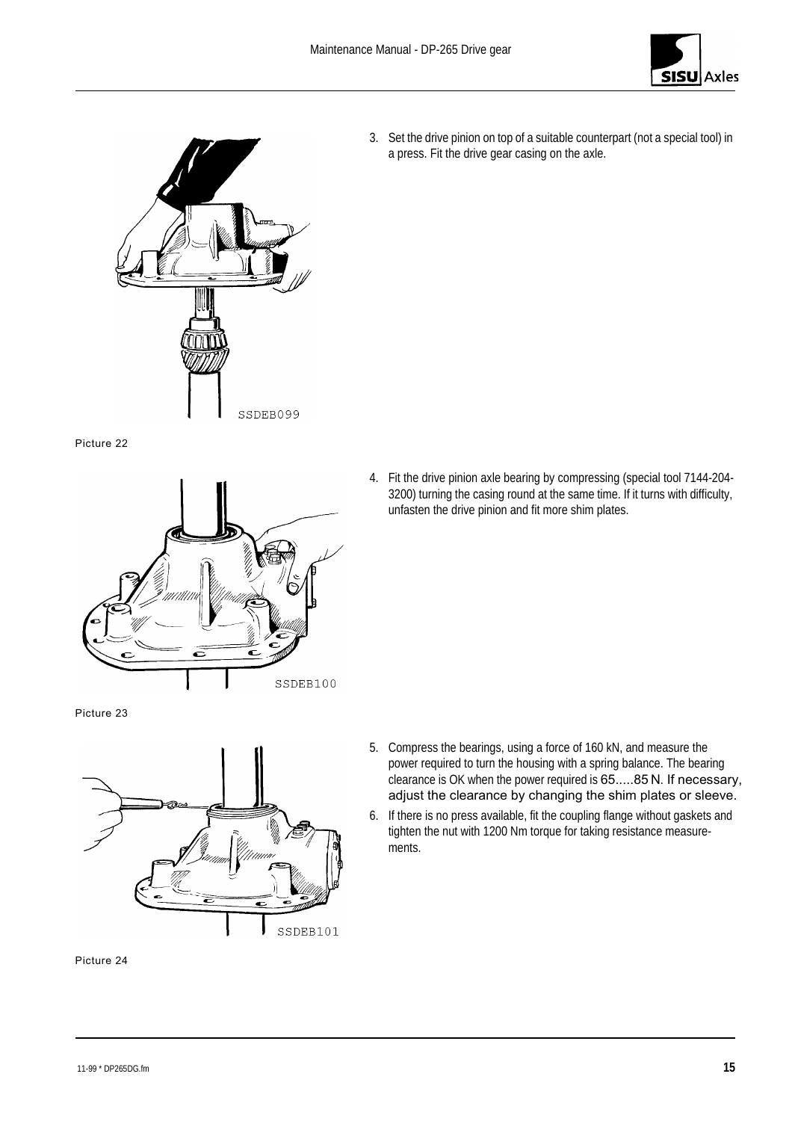







3. Set the drive pinion on top of a suitable counterpart (not a special tool) in

a press. Fit the drive gear casing on the axle.

4. Fit the drive pinion axle bearing by compressing (special tool 7144-204- 3200) turning the casing round at the same time. If it turns with difficulty, unfasten the drive pinion and fit more shim plates.





- 5. Compress the bearings, using a force of 160 kN, and measure the power required to turn the housing with a spring balance. The bearing clearance is OK when the power required is 65.....85 N. If necessary, adjust the clearance by changing the shim plates or sleeve.
- 6. If there is no press available, fit the coupling flange without gaskets and tighten the nut with 1200 Nm torque for taking resistance measurements.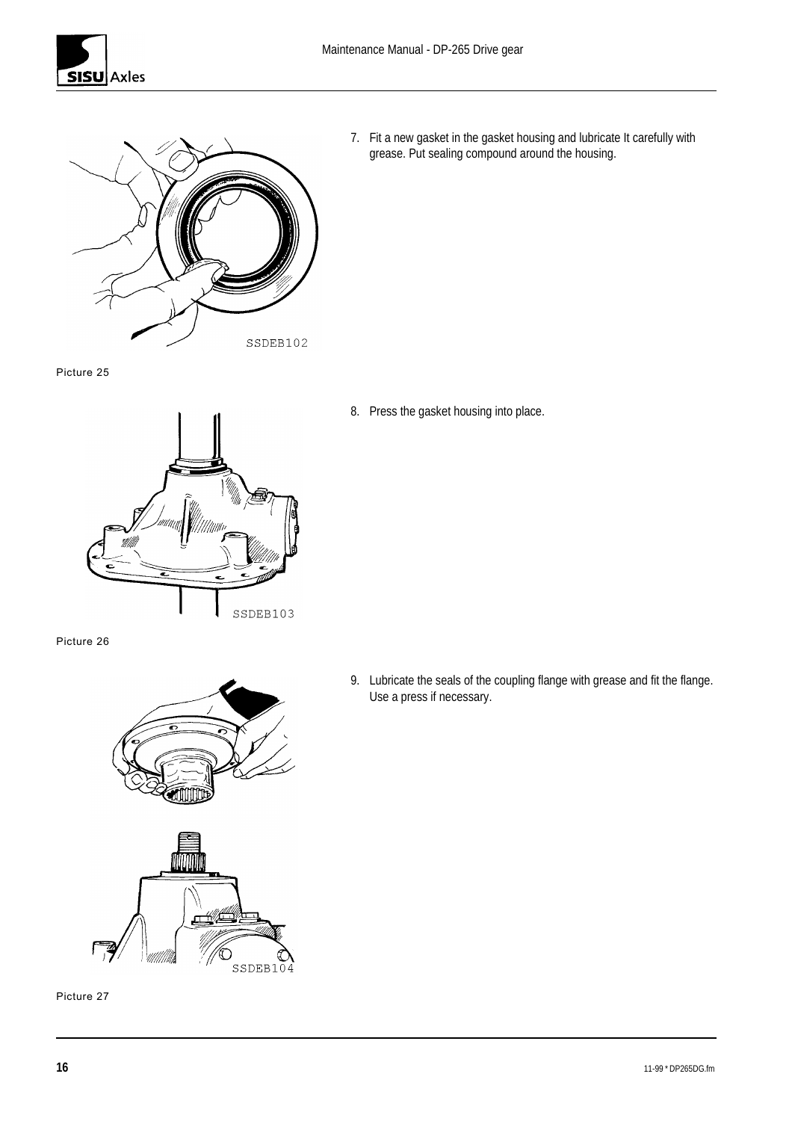



7. Fit a new gasket in the gasket housing and lubricate It carefully with grease. Put sealing compound around the housing.





Picture 26







8. Press the gasket housing into place.

9. Lubricate the seals of the coupling flange with grease and fit the flange. Use a press if necessary.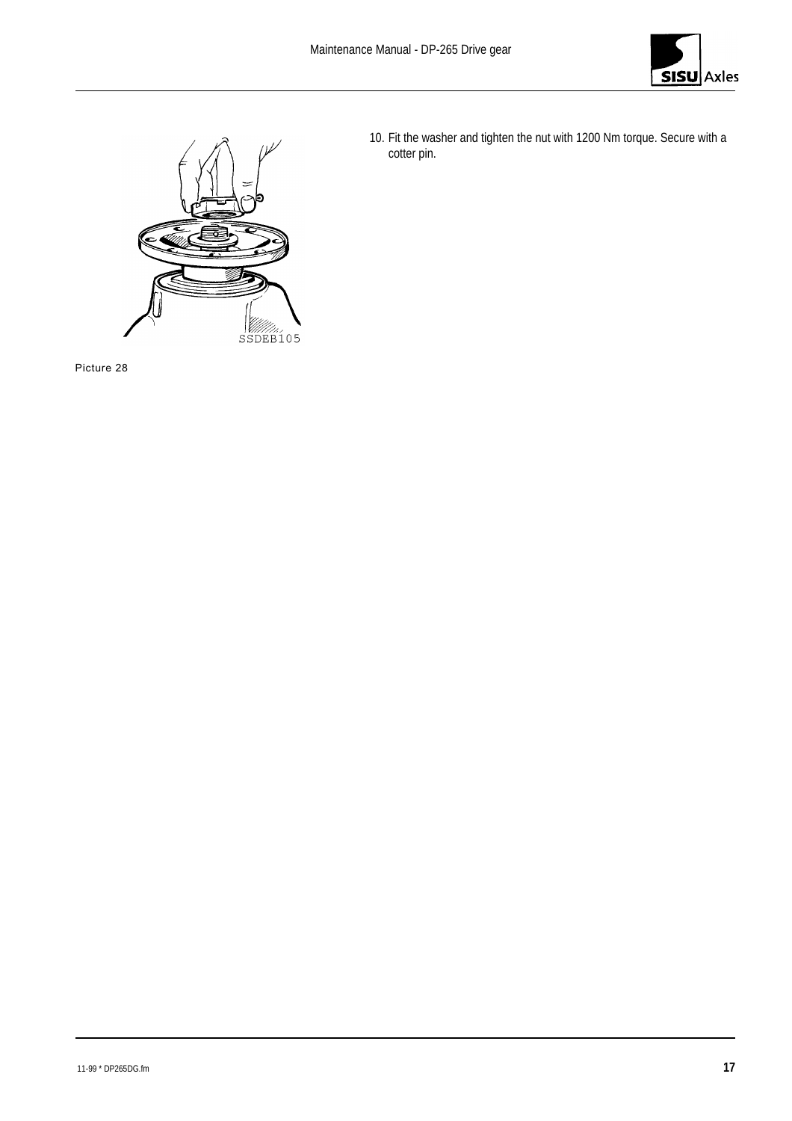



10. Fit the washer and tighten the nut with 1200 Nm torque. Secure with a cotter pin.

Picture 28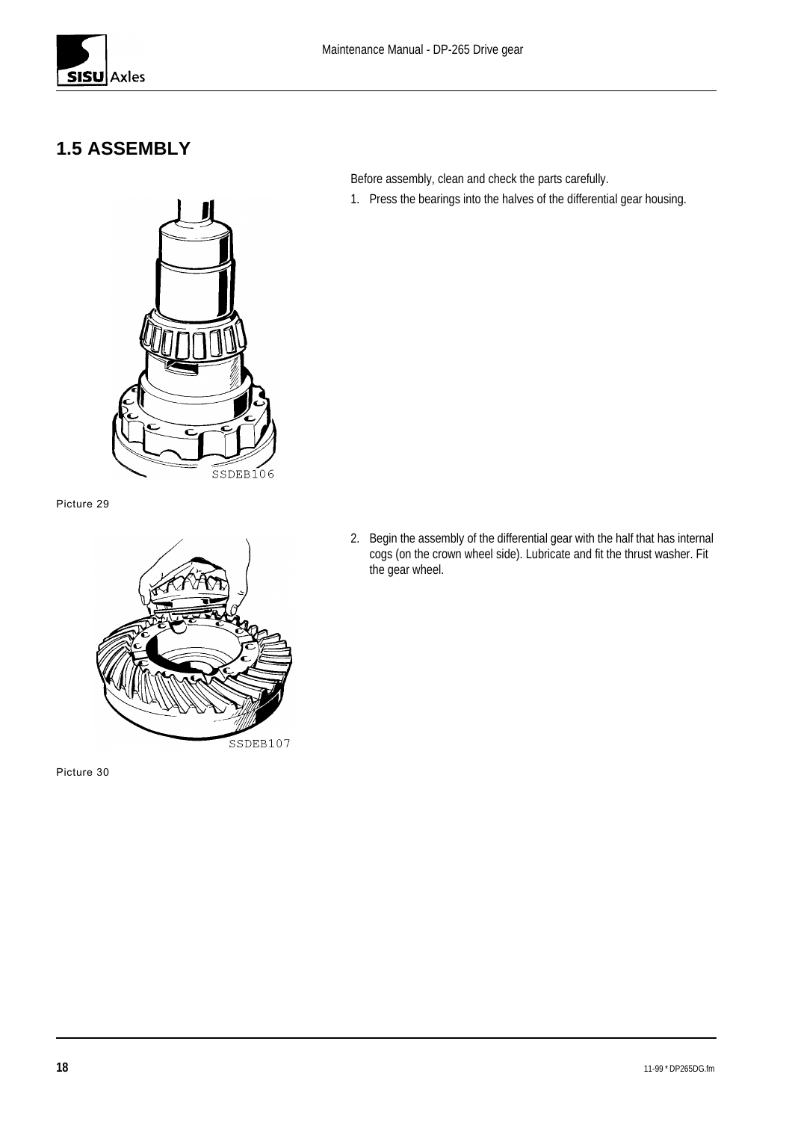

#### <span id="page-17-0"></span>**1.5 ASSEMBLY**



Before assembly, clean and check the parts carefully.

1. Press the bearings into the halves of the differential gear housing.

Picture 29



Picture 30

2. Begin the assembly of the differential gear with the half that has internal cogs (on the crown wheel side). Lubricate and fit the thrust washer. Fit the gear wheel.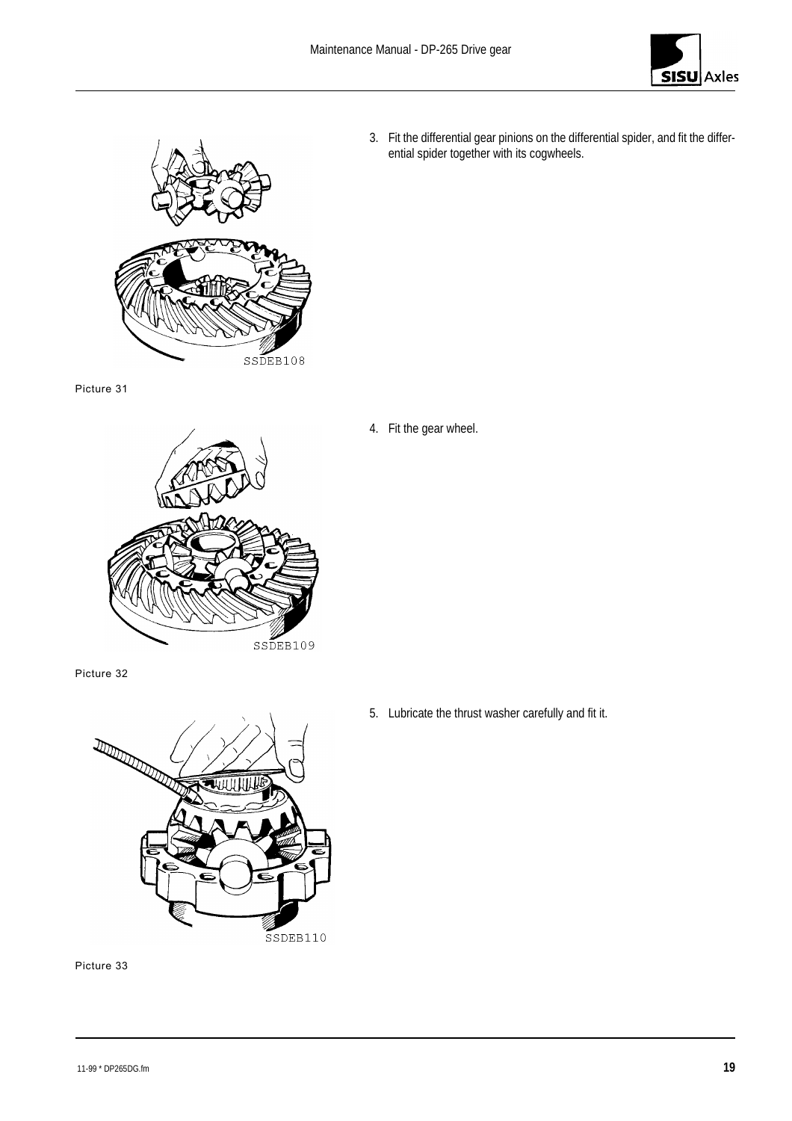

3. Fit the differential gear pinions on the differential spider, and fit the differ-

ential spider together with its cogwheels.



Picture 31



4. Fit the gear wheel.

Picture 32



Picture 33

5. Lubricate the thrust washer carefully and fit it.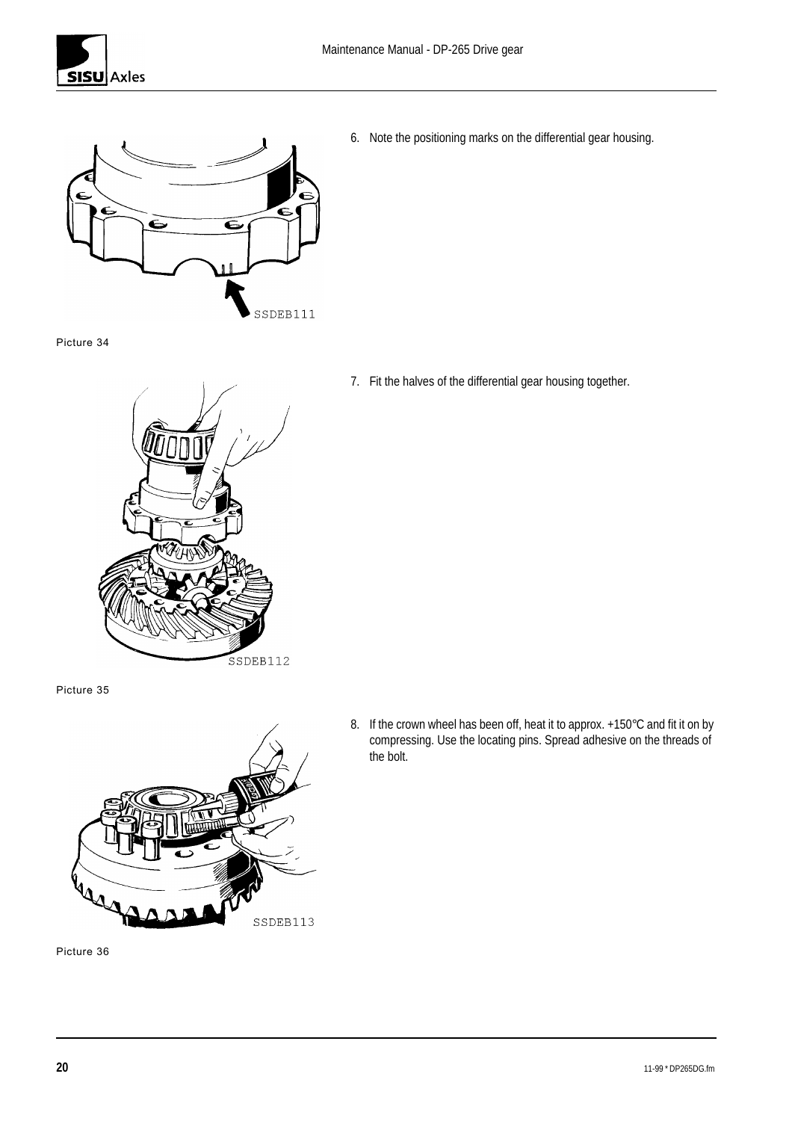



6. Note the positioning marks on the differential gear housing.

Picture 34



7. Fit the halves of the differential gear housing together.

Picture 35



8. If the crown wheel has been off, heat it to approx. +150°C and fit it on by compressing. Use the locating pins. Spread adhesive on the threads of the bolt.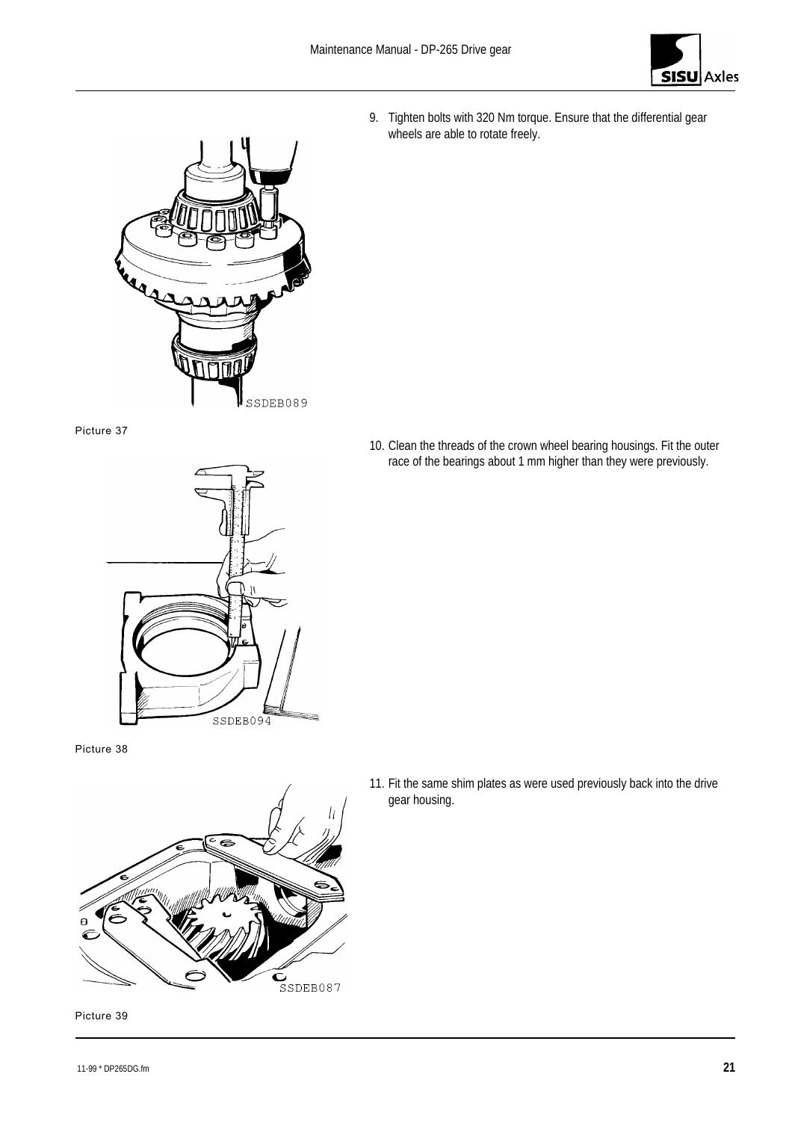

9. Tighten bolts with 320 Nm torque. Ensure that the differential gear wheels are able to rotate freely.



Picture 37



10. Clean the threads of the crown wheel bearing housings. Fit the outer race of the bearings about 1 mm higher than they were previously.

11. Fit the same shim plates as were used previously back into the drive

Picture 38



gear housing.

Picture 39

11-99 \* DP265DG.fm **21**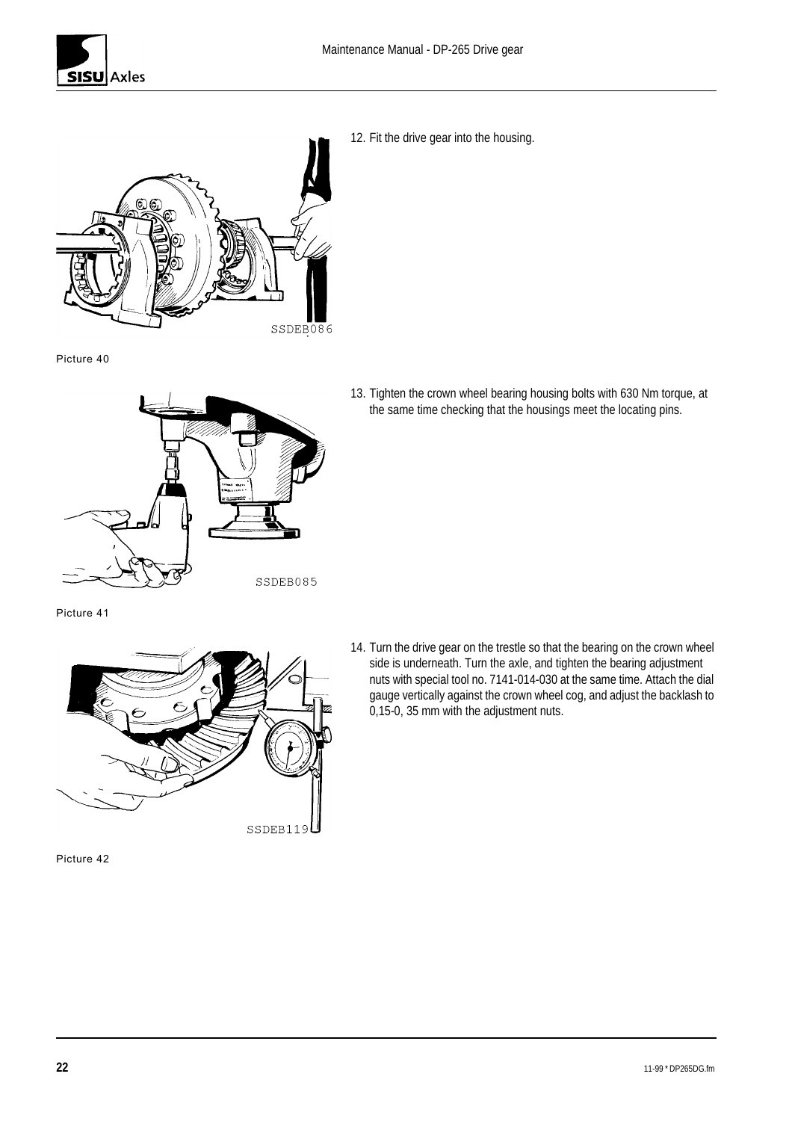



12. Fit the drive gear into the housing.

Picture 40



13. Tighten the crown wheel bearing housing bolts with 630 Nm torque, at the same time checking that the housings meet the locating pins.

Picture 41



14. Turn the drive gear on the trestle so that the bearing on the crown wheel side is underneath. Turn the axle, and tighten the bearing adjustment nuts with special tool no. 7141-014-030 at the same time. Attach the dial gauge vertically against the crown wheel cog, and adjust the backlash to 0,15-0, 35 mm with the adjustment nuts.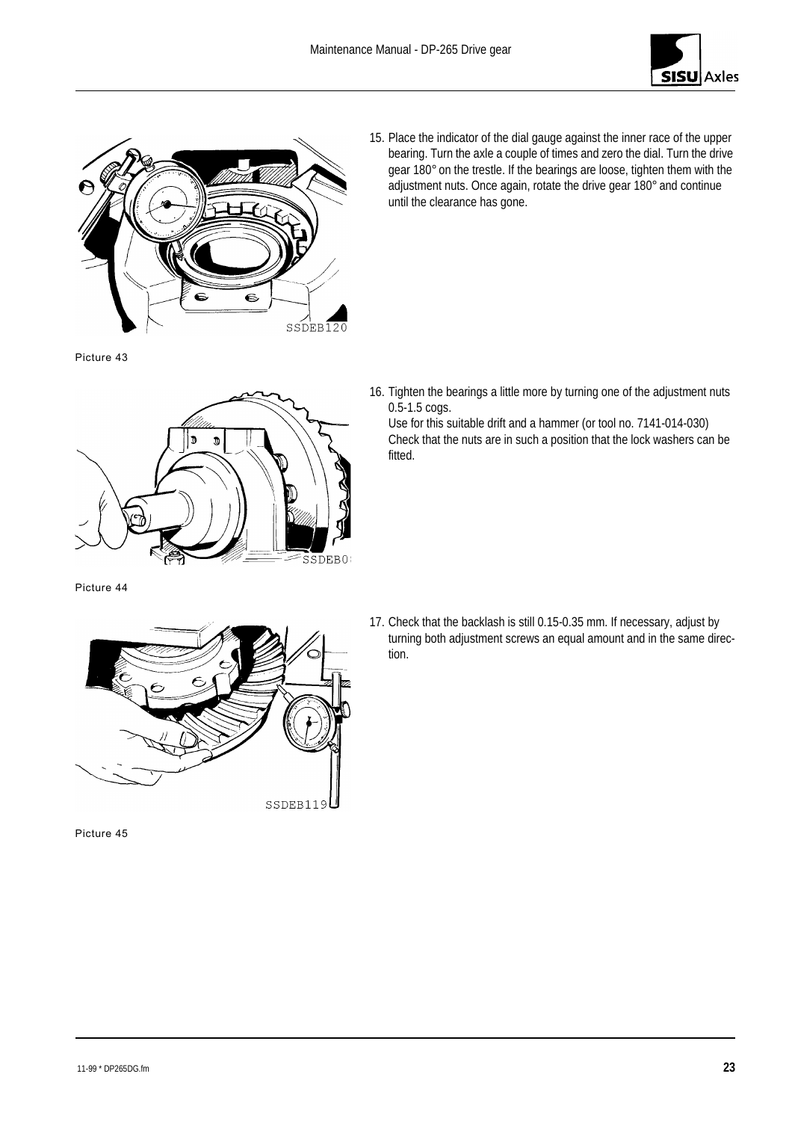



15. Place the indicator of the dial gauge against the inner race of the upper bearing. Turn the axle a couple of times and zero the dial. Turn the drive gear 180° on the trestle. If the bearings are loose, tighten them with the adjustment nuts. Once again, rotate the drive gear 180° and continue until the clearance has gone.





16. Tighten the bearings a little more by turning one of the adjustment nuts 0.5-1.5 cogs.

Use for this suitable drift and a hammer (or tool no. 7141-014-030) Check that the nuts are in such a position that the lock washers can be fitted.

Picture 44



Picture 45

17. Check that the backlash is still 0.15-0.35 mm. If necessary, adjust by turning both adjustment screws an equal amount and in the same direction.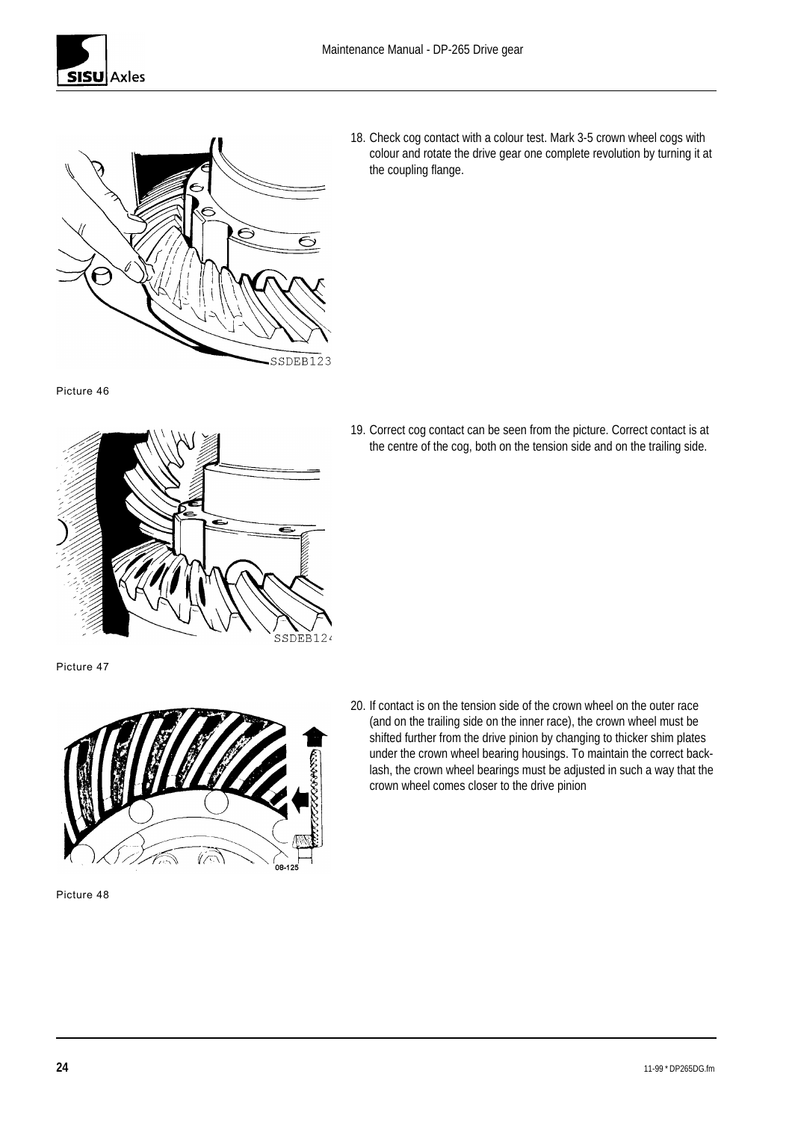



18. Check cog contact with a colour test. Mark 3-5 crown wheel cogs with colour and rotate the drive gear one complete revolution by turning it at the coupling flange.

Picture 46



19. Correct cog contact can be seen from the picture. Correct contact is at the centre of the cog, both on the tension side and on the trailing side.

Picture 47



Picture 48

20. If contact is on the tension side of the crown wheel on the outer race (and on the trailing side on the inner race), the crown wheel must be shifted further from the drive pinion by changing to thicker shim plates under the crown wheel bearing housings. To maintain the correct backlash, the crown wheel bearings must be adjusted in such a way that the crown wheel comes closer to the drive pinion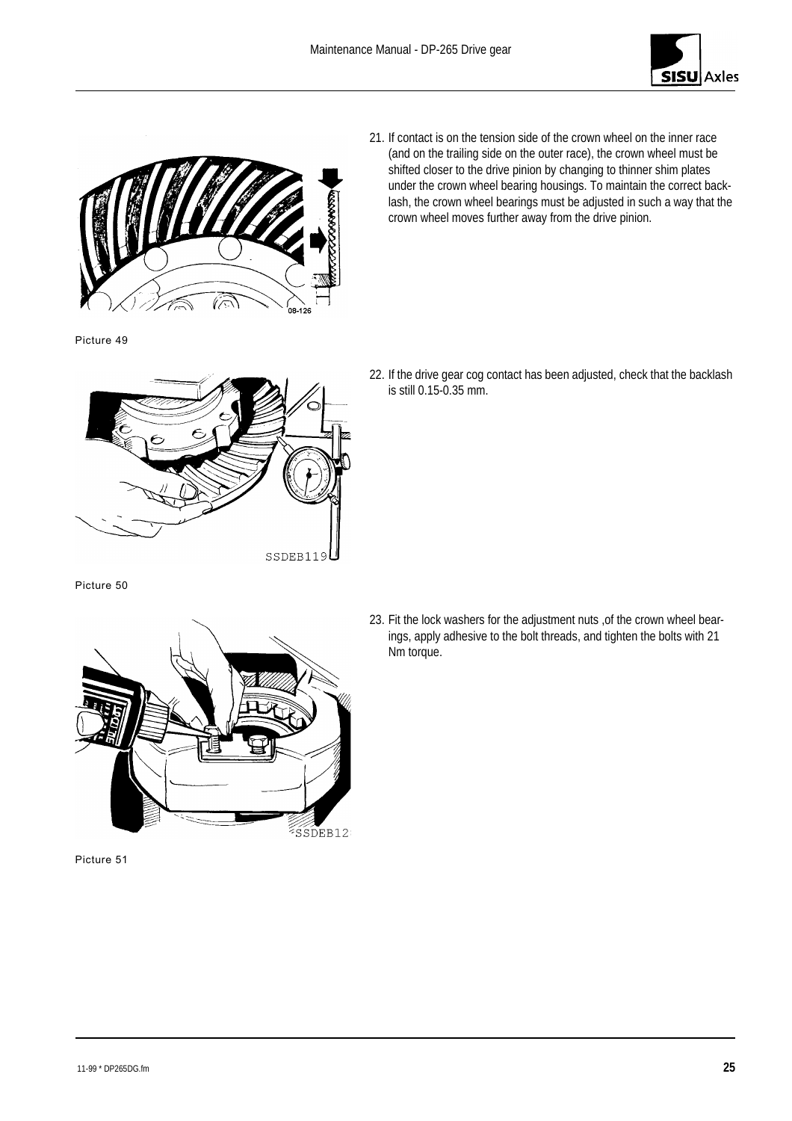



Picture 49



SSDEB119

22. If the drive gear cog contact has been adjusted, check that the backlash is still 0.15-0.35 mm.

21. If contact is on the tension side of the crown wheel on the inner race (and on the trailing side on the outer race), the crown wheel must be shifted closer to the drive pinion by changing to thinner shim plates under the crown wheel bearing housings. To maintain the correct backlash, the crown wheel bearings must be adjusted in such a way that the

crown wheel moves further away from the drive pinion.

Picture 50



Picture 51

23. Fit the lock washers for the adjustment nuts ,of the crown wheel bearings, apply adhesive to the bolt threads, and tighten the bolts with 21 Nm torque.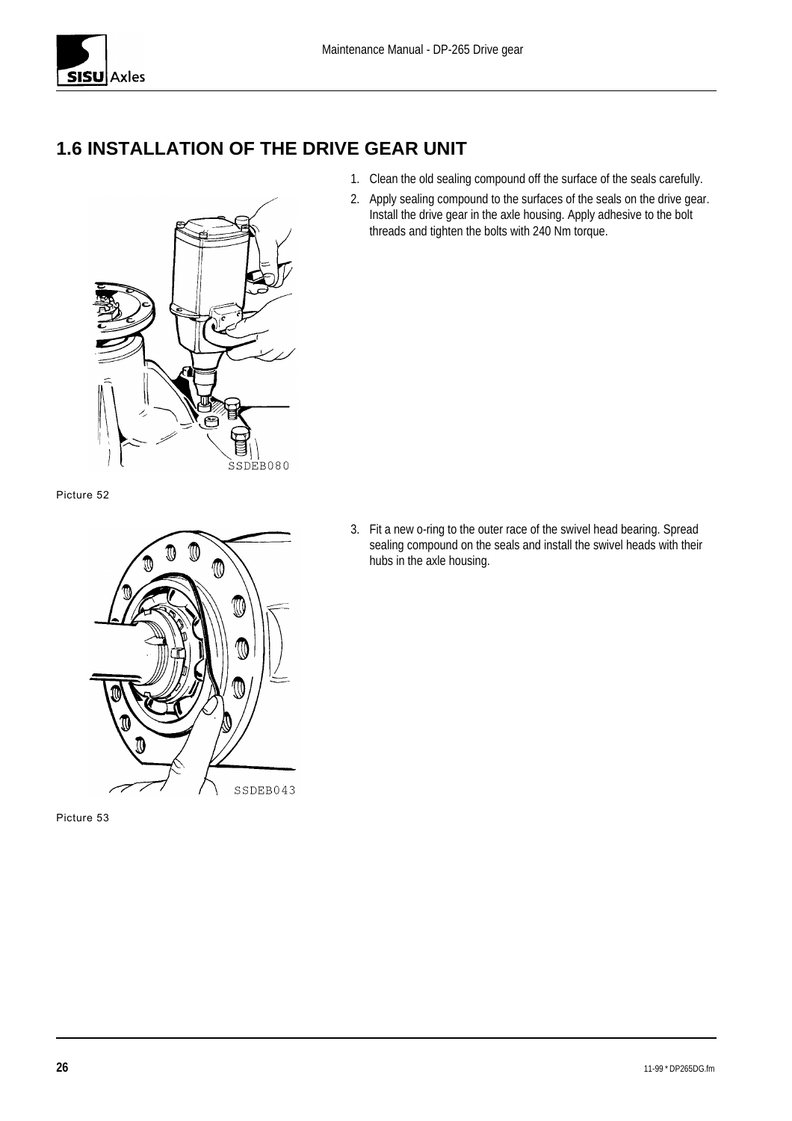

## <span id="page-25-0"></span>**1.6 INSTALLATION OF THE DRIVE GEAR UNIT**



- 1. Clean the old sealing compound off the surface of the seals carefully.
- 2. Apply sealing compound to the surfaces of the seals on the drive gear. Install the drive gear in the axle housing. Apply adhesive to the bolt threads and tighten the bolts with 240 Nm torque.

Picture 52



3. Fit a new o-ring to the outer race of the swivel head bearing. Spread sealing compound on the seals and install the swivel heads with their hubs in the axle housing.

Picture 53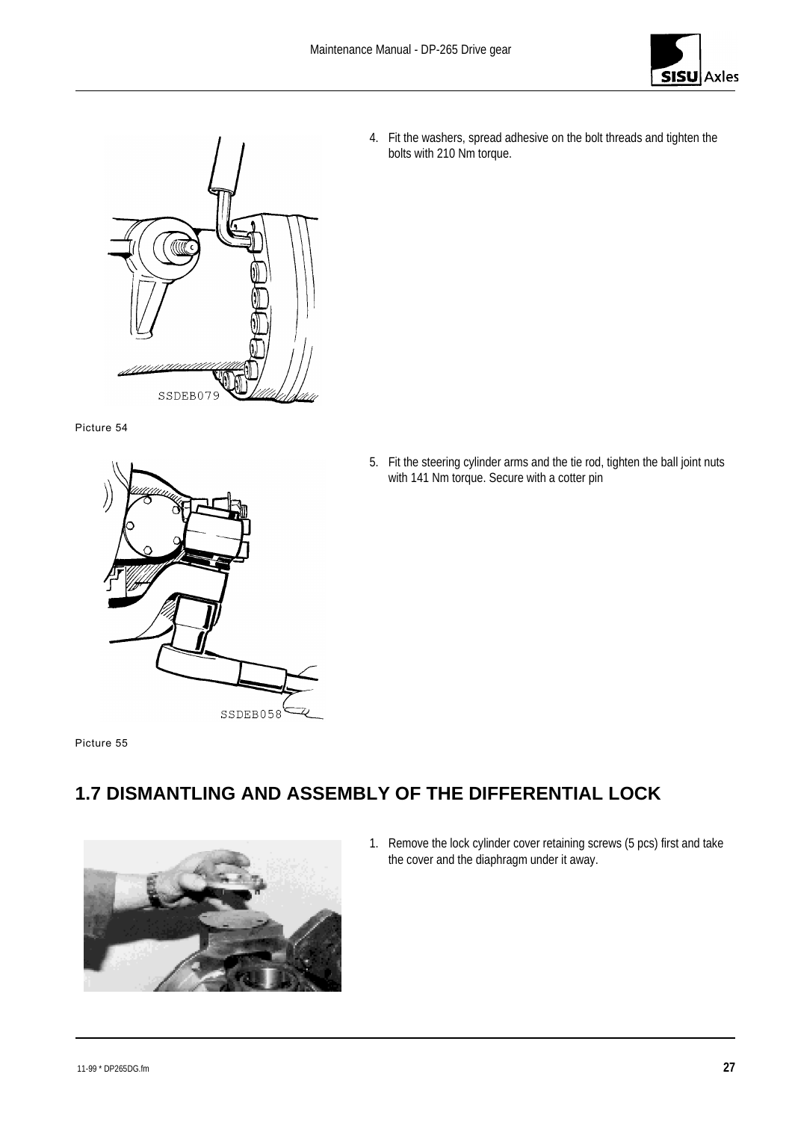bolts with 210 Nm torque.





Picture 54



4. Fit the washers, spread adhesive on the bolt threads and tighten the

5. Fit the steering cylinder arms and the tie rod, tighten the ball joint nuts with 141 Nm torque. Secure with a cotter pin

Picture 55

### <span id="page-26-0"></span>**1.7 DISMANTLING AND ASSEMBLY OF THE DIFFERENTIAL LOCK**



1. Remove the lock cylinder cover retaining screws (5 pcs) first and take the cover and the diaphragm under it away.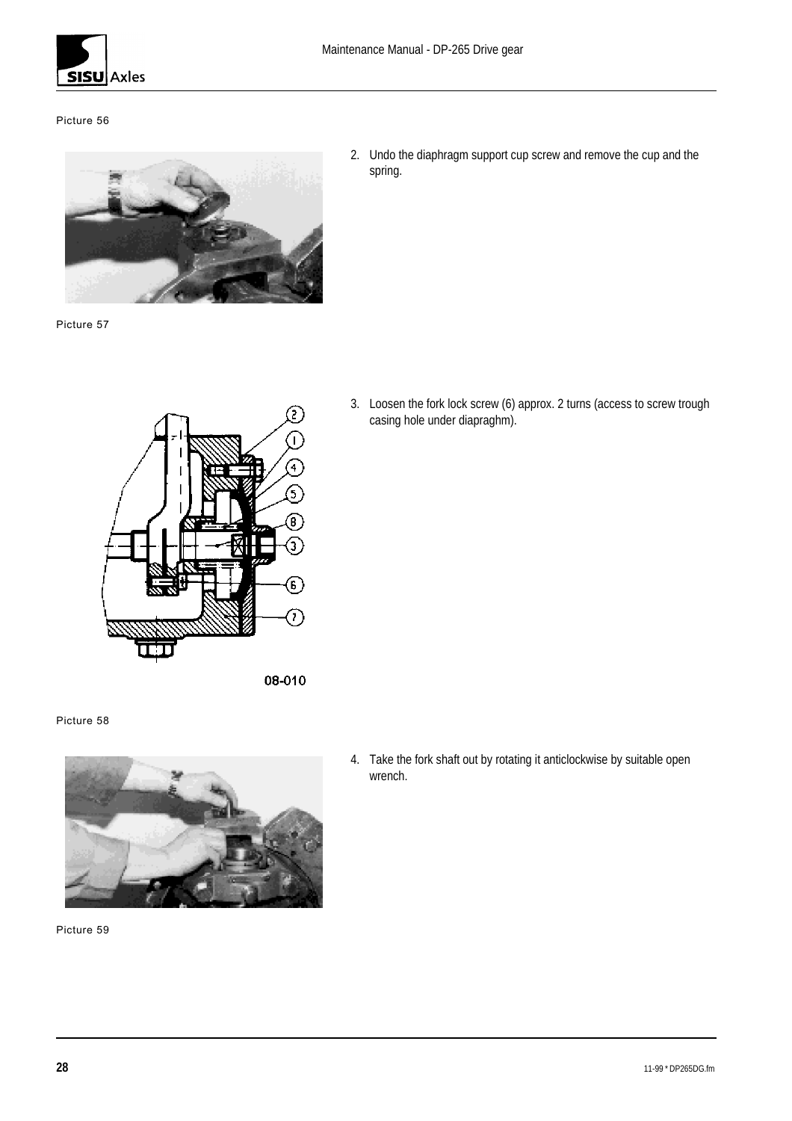

Picture 56



Picture 57

2. Undo the diaphragm support cup screw and remove the cup and the spring.



3. Loosen the fork lock screw (6) approx. 2 turns (access to screw trough casing hole under diapraghm).

08-010

Picture 58



Picture 59

4. Take the fork shaft out by rotating it anticlockwise by suitable open wrench.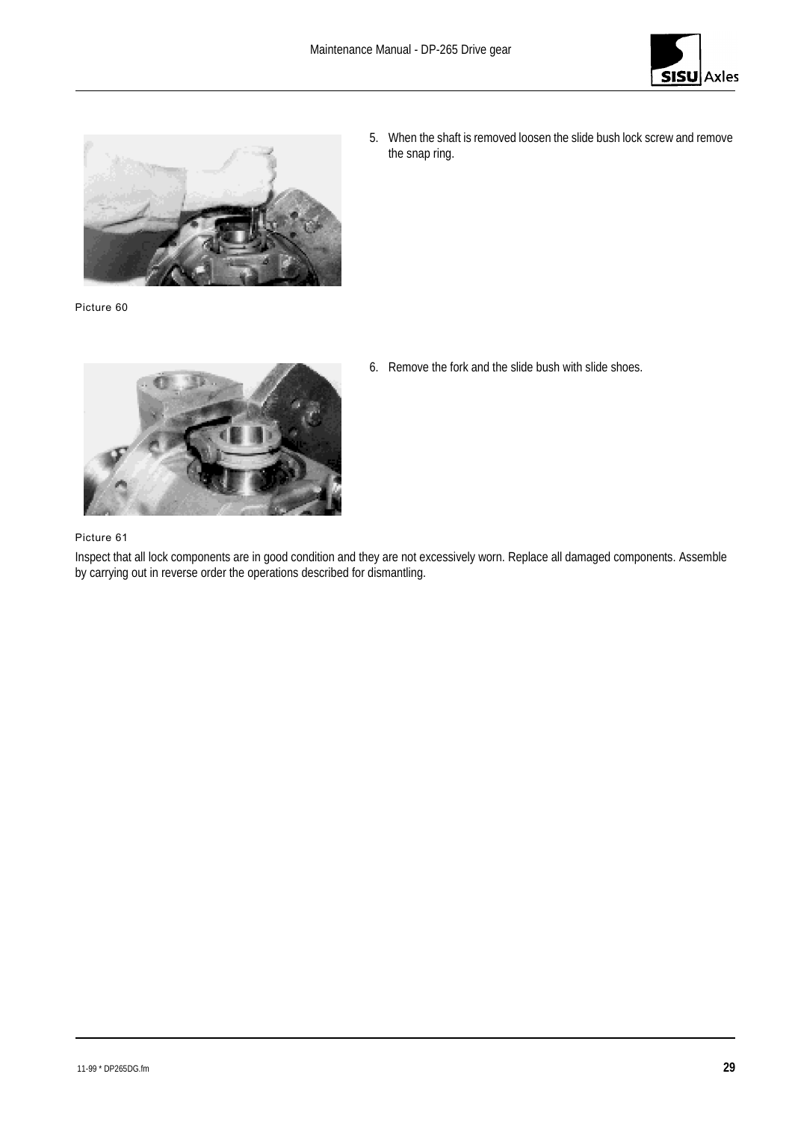



Picture 60

5. When the shaft is removed loosen the slide bush lock screw and remove the snap ring.



6. Remove the fork and the slide bush with slide shoes.

#### Picture 61

Inspect that all lock components are in good condition and they are not excessively worn. Replace all damaged components. Assemble by carrying out in reverse order the operations described for dismantling.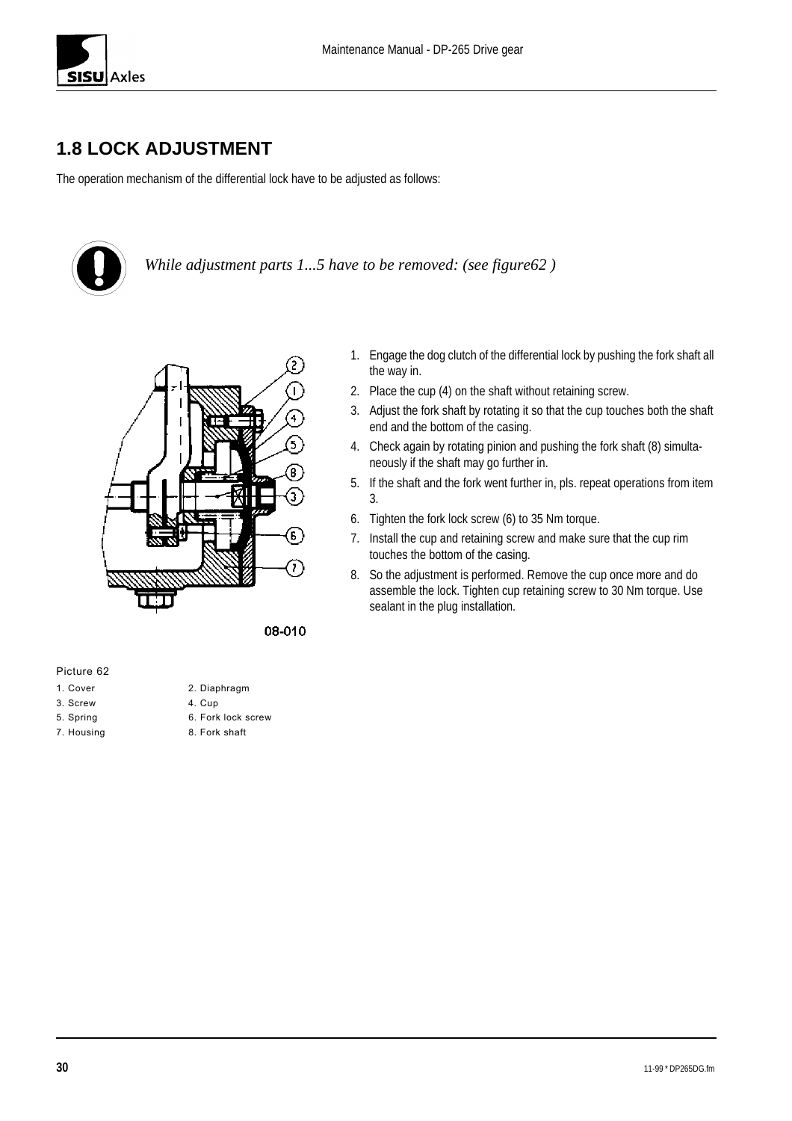

#### <span id="page-29-0"></span>**1.8 LOCK ADJUSTMENT**

The operation mechanism of the differential lock have to be adjusted as follows:



*While adjustment parts 1...5 have to be removed: (see figure62 )*



- 1. Engage the dog clutch of the differential lock by pushing the fork shaft all the way in.
- 2. Place the cup (4) on the shaft without retaining screw.
- 3. Adjust the fork shaft by rotating it so that the cup touches both the shaft end and the bottom of the casing.
- 4. Check again by rotating pinion and pushing the fork shaft (8) simultaneously if the shaft may go further in.
- 5. If the shaft and the fork went further in, pls. repeat operations from item 3.
- 6. Tighten the fork lock screw (6) to 35 Nm torque.
- 7. Install the cup and retaining screw and make sure that the cup rim touches the bottom of the casing.
- 8. So the adjustment is performed. Remove the cup once more and do assemble the lock. Tighten cup retaining screw to 30 Nm torque. Use sealant in the plug installation.

- 1. Cover 2. Diaphragm
- 3. Screw 4. Cup
- 
- 
- 5. Spring 6. Fork lock screw
- 7. Housing 8. Fork shaft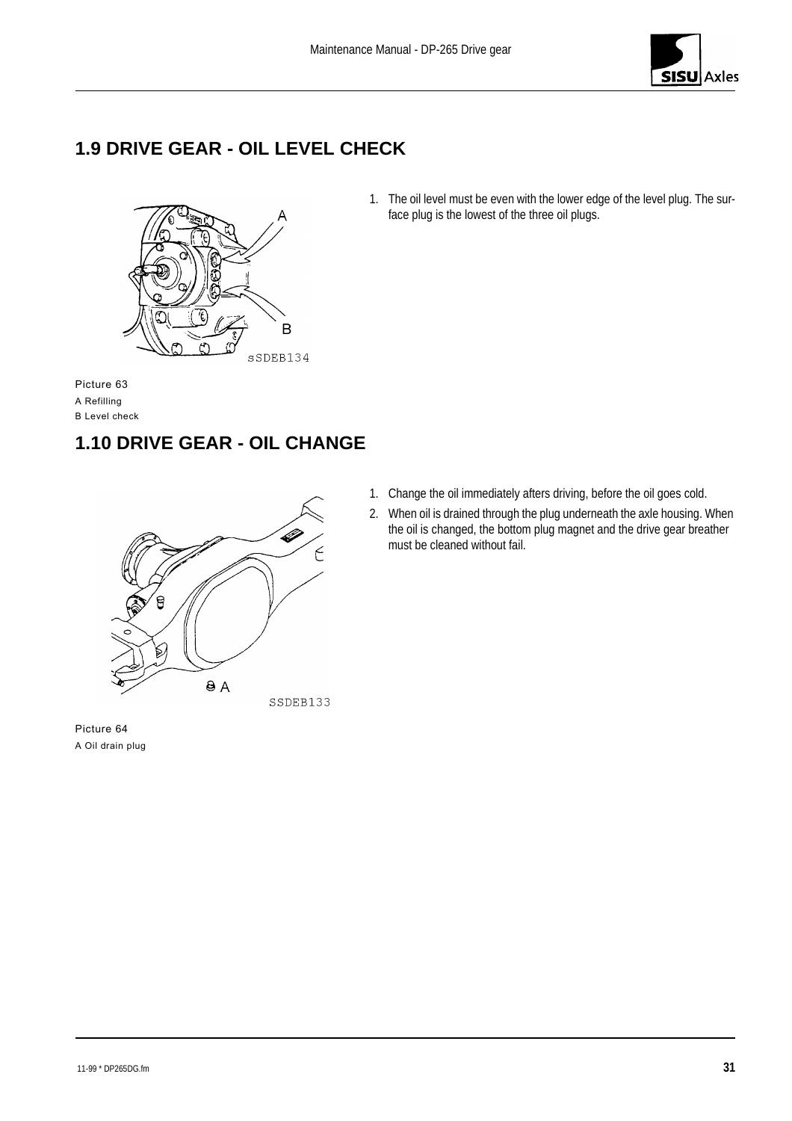

#### <span id="page-30-0"></span>**1.9 DRIVE GEAR - OIL LEVEL CHECK**



Picture 63 A Refilling B Level check

## <span id="page-30-1"></span>**1.10 DRIVE GEAR - OIL CHANGE**



1. The oil level must be even with the lower edge of the level plug. The surface plug is the lowest of the three oil plugs.

- 1. Change the oil immediately afters driving, before the oil goes cold.
- 2. When oil is drained through the plug underneath the axle housing. When the oil is changed, the bottom plug magnet and the drive gear breather must be cleaned without fail.

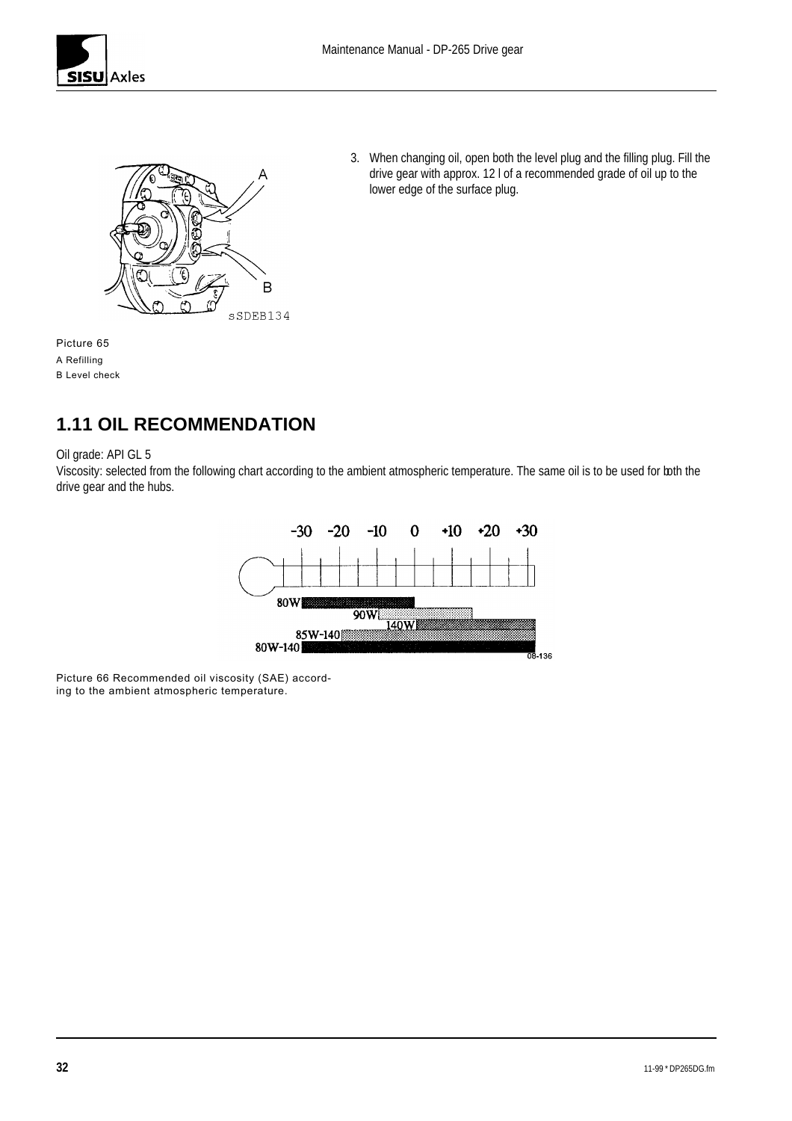



3. When changing oil, open both the level plug and the filling plug. Fill the drive gear with approx. 12 l of a recommended grade of oil up to the lower edge of the surface plug.

Picture 65 A Refilling B Level check

#### <span id="page-31-0"></span>**1.11 OIL RECOMMENDATION**

Oil grade: API GL 5

Viscosity: selected from the following chart according to the ambient atmospheric temperature. The same oil is to be used for both the drive gear and the hubs.



Picture 66 Recommended oil viscosity (SAE) according to the ambient atmospheric temperature.